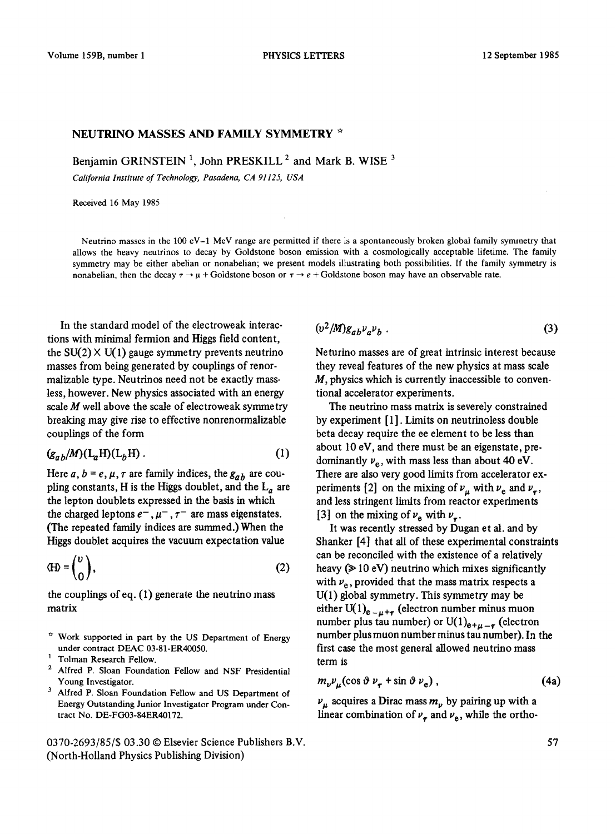## NEUTRINO MASSES AND FAMILY SYMMETRY \*

Benjamin GRINSTEIN<sup>1</sup>, John PRESKILL<sup>2</sup> and Mark B. WISE<sup>3</sup>

*California Institute of Technology, Pasadena, CA 91125, USA* 

Received 16 May 1985

Neutrino masses in the 100 eV-1 MeV range are permitted if there is a spontaneously broken global family symmetry that allows the heavy neutrinos to decay by Goldstone boson emission with a cosmologically acceptable lifetime. The family symmetry may be either abelian or nonabelian; we present models illustrating both possibilities. If the family symmetry is nonabelian, then the decay  $\tau \rightarrow \mu + \text{Goldstone}$  boson or  $\tau \rightarrow e + \text{Goldstone}$  boson may have an observable rate.

In the standard model of the electroweak interactions with minimal fermion and Higgs field content, the  $SU(2) \times U(1)$  gauge symmetry prevents neutrino masses from being generated by couplings of renormalizable type. Neutrinos need not be exactly massless, however. New physics associated with an energy scale  $M$  well above the scale of electroweak symmetry breaking may give rise to effective nonrenormalizable couplings of the form

$$
(g_{ab}/M)(L_aH)(L_bH) \tag{1}
$$

Here  $a, b = e, \mu, \tau$  are family indices, the  $g_{ab}$  are coupling constants, H is the Higgs doublet, and the  $L_a$  are the lepton doublets expressed in the basis in which the charged leptons  $e^-$ ,  $\mu^-$ ,  $\tau^-$  are mass eigenstates. (The repeated family indices are summed.) When the Higgs doublet acquires the vacuum expectation value

$$
\text{(H)} = \begin{pmatrix} v \\ 0 \end{pmatrix},\tag{2}
$$

the couplings of eq. (1) generate the neutrino mass matrix

- $\hat{H}$  Work supported in part by the US Department of Energy under contract DEAC 03-81-ER40050.
- 1 Tolman Research Fellow.
- 2 Alfred P. Sloan Foundation Fellow and NSF Presidential Young Investigator.
- Alfred P. Sloan Foundation Fellow and US Department of Energy Outstanding Junior Investigator Program under Contract No. DE-FG03-84ER40172.

0370-2693/85/\$ 03.30 © Elsevier Science Publishers B.V. (North-Holland Physics Publishing Division)

$$
(v^2/M)g_{ab}v_a v_b \tag{3}
$$

Neturino masses are of great intrinsic interest because they reveal features of the new physics at mass scale  $M$ , physics which is currently inaccessible to conventional accelerator experiments.

The neutrino mass matrix is severely constrained by experiment [1]. Limits on neutrinoless double beta decay require the ee element to be less than about 10 eV, and there must be an eigenstate, predominantly  $v_e$ , with mass less than about 40 eV. There are also very good limits from accelerator experiments [2] on the mixing of  $v_{\mu}$  with  $v_{e}$  and  $v_{r}$ , and less stringent limits from reactor experiments [3] on the mixing of  $\nu_e$  with  $\nu_e$ .

It was recently stressed by Dugan et al. and by Shanker [4] that all of these experimental constraints can be reconciled with the existence of a relatively heavy  $($   $\geq$  10 eV) neutrino which mixes significantly with  $\nu_e$ , provided that the mass matrix respects a U(1) global symmetry. This symmetry may be either  $U(1)<sub>e-u+r</sub>$  (electron number minus muon number plus tau number) or  $U(1)_{e+\mu-r}$  (electron number plus muon number minus tau number). In the first case the most general allowed neutrino mass term is

$$
m_{\nu} \nu_{\mu} (\cos \vartheta \, \nu_{\tau} + \sin \vartheta \, \nu_{e}) \,, \tag{4a}
$$

 $\nu_{\mu}$  acquires a Dirac mass  $m_{\nu}$  by pairing up with a linear combination of  $v_{\tau}$  and  $v_{\text{e}}$ , while the ortho-

57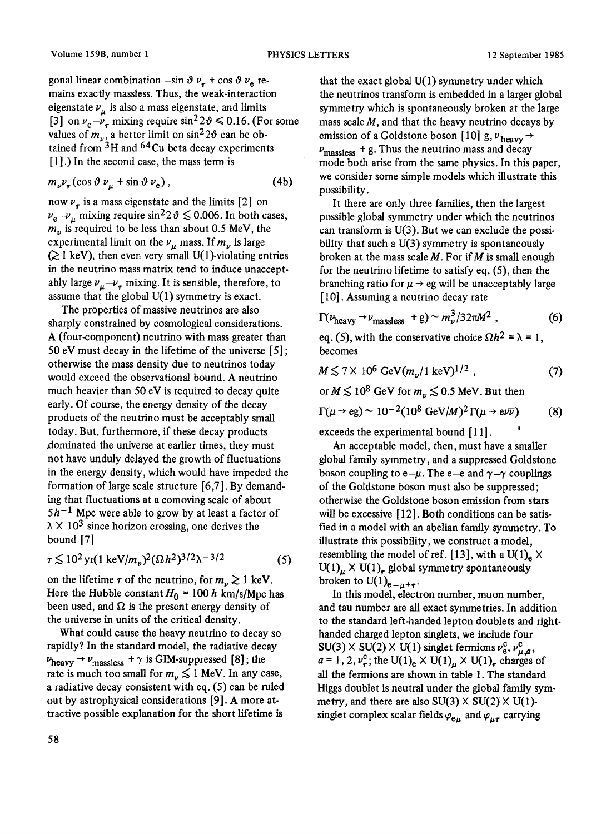gonal linear combination  $-\sin \vartheta \nu_{\tau} + \cos \vartheta \nu_{\theta}$  remains exactly massless. Thus, the weak-interaction eigenstate  $v_{\mu}$  is also a mass eigenstate, and limits [3] on  $v_e - v_\tau$  mixing require sin<sup>2</sup> 2  $\theta \le 0.16$ . (For some values of  $m_{\nu}$ , a better limit on sin<sup>2</sup>20 can be obtained from  $3H$  and  $64Cu$  beta decay experiments [1].) In the second case, the mass term is

$$
m_{\nu}v_{\tau}(\cos\vartheta\,\nu_{\mu}+\sin\vartheta\,\nu_{e})\,,\tag{4b}
$$

now  $\nu_{\tau}$  is a mass eigenstate and the limits [2] on  $v_e - v_\mu$  mixing require sin<sup>2</sup>2 $\vartheta \le 0.006$ . In both cases,  $m_{\nu}$  is required to be less than about 0.5 MeV, the experimental limit on the  $v_{\mu}$  mass. If  $m_{\nu}$  is large  $(21 \text{ keV})$ , then even very small U(1)-violating entries in the neutrino mass matrix tend to induce unacceptably large  $v_{\mu}-v_{\tau}$  mixing. It is sensible, therefore, to assume that the global U(1) symmetry is exact.

The properties of massive neutrinos are also sharply constrained by cosmological considerations. A (four-component) neutrino with mass greater than 50 eV must decay in the lifetime of the universe [5] ; otherwise the mass density due to neutrinos today would exceed the observational bound. A neutrino much heavier than 50 eV is required to decay quite early. Of course, the energy density of the decay products of the neutrino must be acceptably small today. But, furthermore, if these decay products dominated the universe at earlier times, they must not have unduly delayed the growth of fluctuations in the energy density, which would have impeded the formation of large scale structure [6,7]. By demanding that fluctuations at a comoving scale of about  $5h^{-1}$  Mpc were able to grow by at least a factor of  $\lambda \times 10^3$  since horizon crossing, one derives the bound [7]

$$
\tau \lesssim 10^2 \,\text{yr}(1 \,\text{keV}/m_v)^2 (\Omega h^2)^{3/2} \lambda^{-3/2} \tag{5}
$$

on the lifetime  $\tau$  of the neutrino, for  $m_{\nu} \gtrsim 1$  keV. Here the Hubble constant  $H_0 = 100 h \text{ km/s/Mpc}$  has been used, and  $\Omega$  is the present energy density of the universe in units of the critical density.

What could cause the heavy neutrino to decay so rapidly? In the standard model, the radiative decay  $\nu_{\rm heavy} \rightarrow \nu_{\rm massless} + \gamma$  is GIM-suppressed [8]; the rate is much too small for  $m_{\nu} \lesssim 1$  MeV. In any case, a radiative decay consistent with eq. (5) can be ruled out by astrophysical considerations [9]. A more attractive possible explanation for the short lifetime is

that the exact global  $U(1)$  symmetry under which the neutrinos transform is embedded in a larger global symmetry which is spontaneously broken at the large mass scale  $M$ , and that the heavy neutrino decays by emission of a Goldstone boson [10] g,  $v_{\text{heavy}} \rightarrow$  $v_{\text{massless}} + g$ . Thus the neutrino mass and decay mode both arise from the same physics. In this paper, we consider some simple models which illustrate this possibility.

It there are only three families, then the largest possible global symmetry under which the neutrinos can transform is U(3). But we can exclude the possibility that such a U(3) symmetry is spontaneously broken at the mass scale  $M$ . For if  $M$  is small enough for the neutrino lifetime to satisfy eq. (5), then the branching ratio for  $\mu \rightarrow$  eg will be unacceptably large [10]. Assuming a neutrino decay rate

$$
\Gamma(\nu_{\text{heavy}} \to \nu_{\text{massless}} + g) \sim m_{\nu}^3 / 32 \pi M^2 \tag{6}
$$

eq. (5), with the conservative choice  $\Omega h^2 = \lambda = 1$ , becomes

$$
M \lesssim 7 \times 10^6 \text{ GeV} (m_v/1 \text{ keV})^{1/2} , \qquad (7)
$$

or  $M \lesssim 10^8$  GeV for  $m_v \lesssim 0.5$  MeV. But then

$$
\Gamma(\mu \to \text{eg}) \sim 10^{-2} (10^8 \text{ GeV}/M)^2 \Gamma(\mu \to \text{eV}) \tag{8}
$$

exceeds the experimental bound [11].

An acceptable model, then, must have a smaller global family symmetry, and a suppressed Goldstone boson coupling to  $e-\mu$ . The e-e and  $\gamma-\gamma$  couplings of the Goldstone boson must also be suppressed; otherwise the Goldstone boson emission from stars will be excessive [12]. Both conditions can be satisfied in a model with an abelian family symmetry. To illustrate this possibility, we construct a model, resembling the model of ref. [13], with a U(1)<sub>e</sub>  $\times$  $U(1)<sub>u</sub> \times U(1)<sub>r</sub>$  global symmetry spontaneously broken to  $U(1)_{e=u+\tau}$ .

In this model, electron number, muon number, and tan number are all exact symmetries. In addition to the standard left-handed lepton doublets and righthanded charged lepton singlets, we include four  $SU(3) \times SU(2) \times U(1)$  singlet fermions  $v_e^c$ ,  $v_{u,a}^c$ ,  $a = 1, 2, v_r^c$ ; the U(1)<sub>e</sub>  $\times$  U(1)<sub>u</sub>  $\times$  U(1)<sub>r</sub> charges of all the fermions are shown in table 1. The standard Higgs doublet is neutral under the global family symmetry, and there are also  $SU(3) \times SU(2) \times U(1)$ singlet complex scalar fields  $\varphi_{e\mu}$  and  $\varphi_{\mu\tau}$  carrying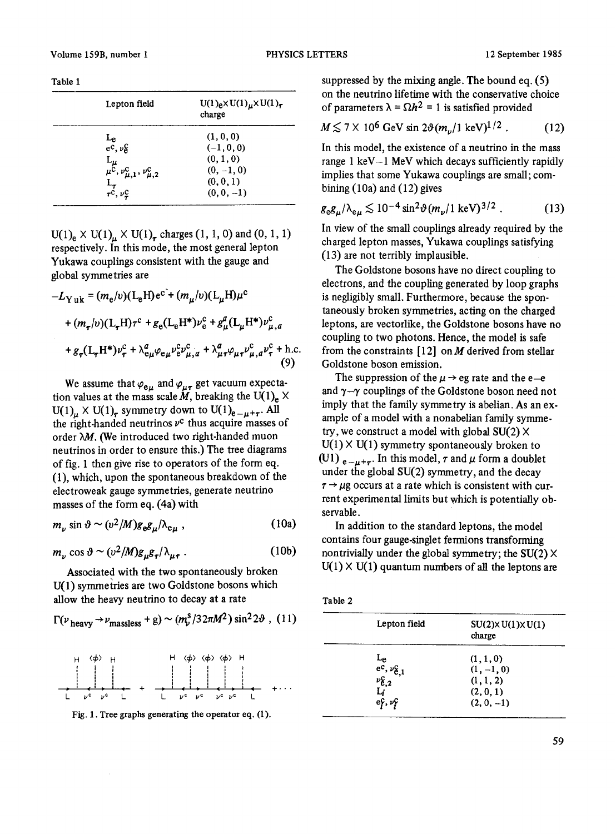| Table |  |
|-------|--|
|-------|--|

| $U(1)$ <sub>e</sub> $\times U(1)$ <sub>µ</sub> $\times U(1)$ <sub>r</sub><br>charge |
|-------------------------------------------------------------------------------------|
| (1, 0, 0)                                                                           |
| $(-1, 0, 0)$                                                                        |
| (0, 1, 0)                                                                           |
| $(0, -1, 0)$                                                                        |
| (0, 0, 1)                                                                           |
| $(0, 0, -1)$                                                                        |
|                                                                                     |

 $U(1)_{e} \times U(1)_{u} \times U(1)_{r}$  charges  $(1, 1, 0)$  and  $(0, 1, 1)$ respectively. In this mode, the most general lepton Yukawa couplings consistent with the gauge and global symmetries are

$$
-L_{\text{Y uk}} = (m_{e}/v)(L_{e}H)e^{c^{2}} + (m_{\mu}/v)(L_{\mu}H)\mu^{c}
$$
  
+ 
$$
(m_{\tau}/v)(L_{\tau}H)\tau^{c} + g_{e}(L_{e}H^{*})\nu_{e}^{c} + g_{\mu}^{a}(L_{\mu}H^{*})\nu_{\mu,a}^{c}
$$
  
+ 
$$
g_{\tau}(L_{\tau}H^{*})\nu_{\tau}^{c} + \lambda_{e\mu}^{a}\varphi_{e\mu}\nu_{e}^{c}\nu_{\mu,a}^{c} + \lambda_{\mu\tau}^{a}\varphi_{\mu\tau}\nu_{\mu,a}^{c}\nu_{\tau}^{c} + \text{h.c.}
$$
  
(9)

We assume that  $\varphi_{e\mu}$  and  $\varphi_{\mu\tau}$  get vacuum expectation values at the mass scale  $\tilde{M}$ , breaking the U(1)<sub>e</sub>  $\times$  $U(1)<sub>\mu</sub> \times U(1)<sub>r</sub>$  symmetry down to  $U(1)<sub>e</sub>_{-\mu+\tau}$ . All the right-handed neutrinos  $v^c$  thus acquire masses of order  $\lambda M$ . (We introduced two right-handed muon neutrinos in order to ensure this.) The tree diagrams of fig. 1 then give rise to operators of the form eq. (1), which, upon the spontaneous breakdown of the electroweak gauge symmetries, generate neutrino masses of the form eq. (4a) with

$$
m_{\nu} \sin \vartheta \sim (v^2/M) g_{\varepsilon} g_{\mu} / \lambda_{\varepsilon \mu} \,, \tag{10a}
$$

$$
m_{\nu} \cos \vartheta \sim (\nu^2 / M) g_{\mu} g_{\tau} / \lambda_{\mu \tau} \,. \tag{10b}
$$

Associated with the two spontaneously broken U(1) symmetries are two Goldstone bosons which allow the heavy neutrino to decay at a rate

$$
\Gamma(\nu_{\text{heavy}} \rightarrow \nu_{\text{massless}} + g) \sim (m_{\nu}^s / 32\pi M^2) \sin^2 2\vartheta , (11)
$$



Fig. 1. Tree graphs generating the operator eq. (1).

suppressed by the mixing angle. The bound eq. (5) on the neutrino lifetime with the conservative choice of parameters  $\lambda = \Omega h^2 = 1$  is satisfied provided

$$
M \lesssim 7 \times 10^6 \text{ GeV} \sin 2\vartheta (m_{\nu}/1 \text{ keV})^{1/2}. \tag{12}
$$

In this model, the existence of a neutrino in the mass range 1 keV-1 MeV which decays sufficiently rapidly implies that some Yukawa couplings are small; combining  $(10a)$  and  $(12)$  gives

$$
g_{\rm e}g_{\mu}/\lambda_{\rm e\mu} \lesssim 10^{-4}\sin^2\vartheta(m_{\nu}/1\,\text{keV})^{3/2} \,. \tag{13}
$$

In view of the small couplings already required by the charged lepton masses, Yukawa couplings satisfying (13) are not terribly implausible.

The Goldstone bosons have no direct coupling to electrons, and the coupling generated by loop graphs is negligibly small. Furthermore, because the spontaneously broken symmetries, acting on the charged leptons, are vectorlike, the Goldstone bosons have no coupling to two photons. Hence, the model is safe from the constraints  $[12]$  on M derived from stellar Goldstone boson emission.

The suppression of the  $\mu \rightarrow$  eg rate and the e-e and  $\gamma-\gamma$  couplings of the Goldstone boson need not imply that the family symmetry is abelian. As an example of a model with a nonabelian family symmetry, we construct a model with global  $SU(2)$  X  $U(1) \times U(1)$  symmetry spontaneously broken to (U1)  $_{e-\mu+\tau}$ . In this model,  $\tau$  and  $\mu$  form a doublet under the global SU(2) symmetry, and the decay  $\tau \rightarrow \mu$ g occurs at a rate which is consistent with current experimental limits but which is potentially observable.

In addition to the standard leptons, the model contains four gauge-singlet fermions transforming nontrivially under the global symmetry; the  $SU(2)$  X  $U(1) \times U(1)$  quantum numbers of all the leptons are

| ×<br>٦<br>۰. | ×<br>٦ |  |
|--------------|--------|--|
|              |        |  |

| Lepton field                                                             | $SU(2) \times U(1) \times U(1)$<br>charge |
|--------------------------------------------------------------------------|-------------------------------------------|
|                                                                          | (1, 1, 0)                                 |
|                                                                          | $(1, -1, 0)$                              |
|                                                                          | (1, 1, 2)                                 |
|                                                                          | (2, 0, 1)                                 |
| Le<br>ec, $\nu_{e,1}^C$<br>$\nu_{e,2}^C$<br>$L_i$<br>$e_f^C$ , $\nu_f^C$ | $(2, 0, -1)$                              |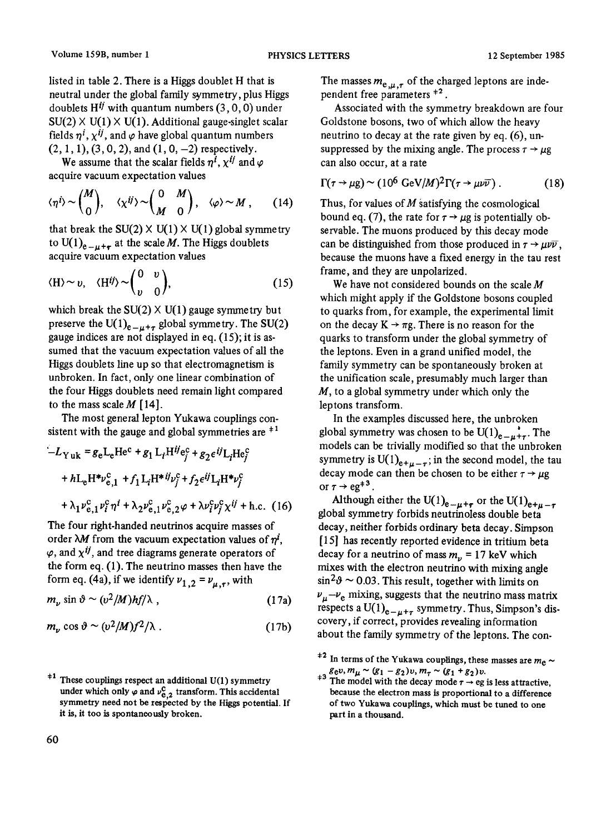listed in table 2. There is a Higgs doublet H that is neutral under the global family symmetry, plus Higgs doublets  $H^{ij}$  with quantum numbers (3, 0, 0) under  $SU(2)$   $\times$  U(1)  $\times$  U(1). Additional gauge-singlet scalar fields  $\eta^i$ ,  $\chi^{ij}$ , and  $\varphi$  have global quantum numbers  $(2, 1, 1), (3, 0, 2),$  and  $(1, 0, -2)$  respectively.

We assume that the scalar fields  $\eta^i$ ,  $\chi^{ij}$  and  $\varphi$ acquire vacuum expectation values

$$
\langle \eta^{i} \rangle \sim \binom{M}{0}, \quad \langle \chi^{ij} \rangle \sim \binom{0}{M} \quad , \quad \langle \varphi \rangle \sim M \quad , \quad (14)
$$

that break the  $SU(2) \times U(1) \times U(1)$  global symmetry to U(1)<sub>e- $\mu+\tau$ </sub> at the scale *M*. The Higgs doublets acquire vacuum expectation values

$$
\langle H \rangle \sim v, \quad \langle H^{ij} \rangle \sim \begin{pmatrix} 0 & v \\ v & 0 \end{pmatrix}, \tag{15}
$$

which break the  $SU(2) \times U(1)$  gauge symmetry but preserve the U(1)<sub>e-u+r</sub> global symmetry. The SU(2) gauge indices are not displayed in eq. (15); it is assumed that the vacuum expectation values of all the Higgs doublets line up so that electromagnetism is unbroken. In fact, only one linear combination of the four Higgs doublets need remain light compared to the mass scale  $M$  [14].

The most general lepton Yukawa couplings consistent with the gauge and global symmetries are  $+1$ 

$$
-L_{\text{Yuk}} = g_{e}L_{e}He^{c} + g_{1}L_{i}H^{ij}e_{j}^{c} + g_{2}\epsilon^{ij}L_{i}He_{j}^{c}
$$
  
+  $hL_{e}H^{*}\nu_{e,1}^{c} + f_{1}L_{i}H^{*}i\nu_{j}^{c} + f_{2}\epsilon^{ij}L_{i}H^{*}\nu_{j}^{c}$   
+  $\lambda_{1}\nu_{e,1}^{c}\nu_{j}^{c}\eta^{i} + \lambda_{2}\nu_{e,1}^{c}\nu_{e,2}^{c}\varphi + \lambda\nu_{i}^{c}\nu_{j}^{c}\chi^{ij} + \text{h.c.}$  (16)

The four right-handed neutrinos acquire masses of order  $\lambda M$  from the vacuum expectation values of  $\eta^{i}$ ,  $\varphi$ , and  $\chi^{ij}$ , and tree diagrams generate operators of the form eq. (1). The neutrino masses then have the form eq. (4a), if we identify  $v_{1,2} = v_{\mu,\tau}$ , with

$$
m_{\nu} \sin \vartheta \sim (\nu^2/M)hf/\lambda , \qquad (17a)
$$

$$
m_{\nu}\cos\vartheta\sim(\nu^2/M)f^2/\lambda\ .\tag{17b}
$$

The masses  $m_{e,\mu,\tau}$  of the charged leptons are independent free parameters  $*^2$ .

Associated with the symmetry breakdown are four Goldstone bosons, two of which allow the heavy neutrino to decay at the rate given by eq. (6), unsuppressed by the mixing angle. The process  $\tau \rightarrow \mu g$ can also occur, at a rate

$$
\Gamma(\tau \to \mu g) \sim (10^6 \text{ GeV}/M)^2 \Gamma(\tau \to \mu \nu \overline{\nu}). \tag{18}
$$

Thus, for values of  $M$  satisfying the cosmological bound eq. (7), the rate for  $\tau \rightarrow \mu$ g is potentially observable. The muons produced by this decay mode can be distinguished from those produced in  $\tau \rightarrow \mu \nu \bar{\nu}$ , because the muons have a fixed energy in the tau rest frame, and they are unpolarized.

We have not considered bounds on the scale  $M$ which might apply if the Goldstone bosons coupled to quarks from, for example, the experimental limit on the decay  $K \rightarrow \pi g$ . There is no reason for the quarks to transform under the global symmetry of the leptons. Even in a grand unified model, the family symmetry can be spontaneously broken at the unification scale, presumably much larger than  $M$ , to a global symmetry under which only the leptons transform.

In the examples discussed here, the unbroken global symmetry was chosen to be  $U(1)_{e-u+r}$ . The models can be trivially modified so that the unbroken symmetry is  $U(1)_{e+\mu-\tau}$ ; in the second model, the tau decay mode can then be chosen to be either  $\tau \rightarrow \mu g$ or  $\tau \rightarrow$  eg<sup>+3</sup>.

Although either the U(1)<sub>e- $\mu + \tau$ </sub> or the U(1)<sub>e+ $\mu - \tau$ </sub> global symmetry forbids neutrinoless double beta decay, neither forbids ordinary beta decay. Simpson [15] has recently reported evidence in tritium beta decay for a neutrino of mass  $m_v = 17$  keV which mixes with the electron neutrino with mixing angle  $\sin^2 \theta \sim 0.03$ . This result, together with limits on  $v_{\mu}-v_{e}$  mixing, suggests that the neutrino mass matrix respects a U(1)<sub>e- $\mu+\tau$ </sub> symmetry. Thus, Simpson's discovery, if correct, provides revealing information about the family symmetry of the leptons. The con-

 $*1$  These couplings respect an additional U(1) symmetry under which only  $\varphi$  and  $\nu_{e,2}^{c}$  transform. This accidental symmetry need not be respected by the Higgs potential. If it is, it too is spontaneously broken.

<sup>&</sup>lt;sup>+2</sup> In terms of the Yukawa couplings, these masses are  $m_e \sim$  $g_{e\nu}$ ,  $m_{\mu} \sim (g_1 - g_2)v$ ,  $m_{\tau} \sim (g_1 + g_2)v$ .

<sup>&</sup>lt;sup> $\tau$ </sup> The model with the decay mode  $\tau \rightarrow$  eg is less attractive, because the electron mass is proportional to a difference of two Yukawa couplings, which must be tuned to one part in a thousand.